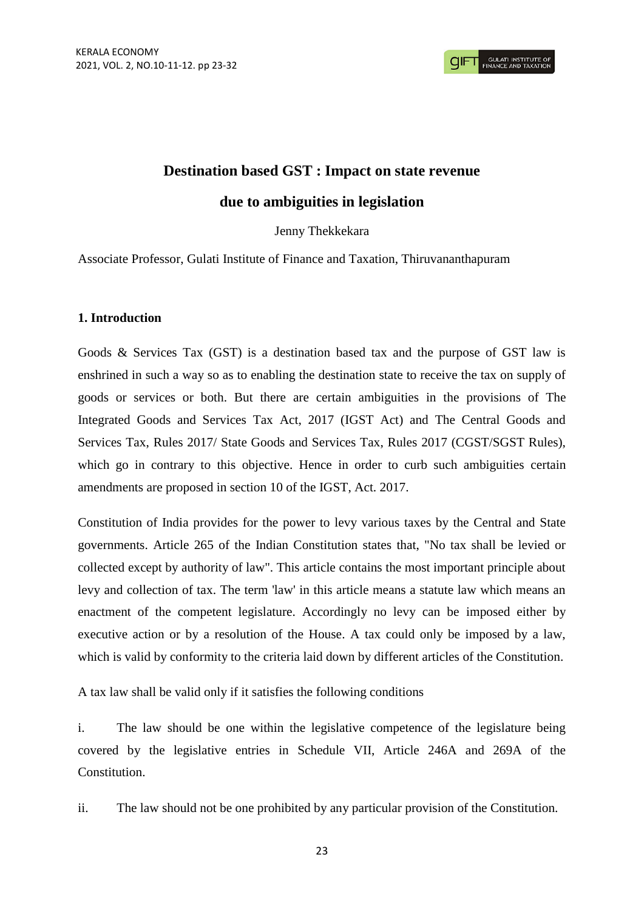# **Destination based GST : Impact on state revenue due to ambiguities in legislation**

# Jenny Thekkekara

Associate Professor, Gulati Institute of Finance and Taxation, Thiruvananthapuram

# **1. Introduction**

Goods & Services Tax (GST) is a destination based tax and the purpose of GST law is enshrined in such a way so as to enabling the destination state to receive the tax on supply of goods or services or both. But there are certain ambiguities in the provisions of The Integrated Goods and Services Tax Act, 2017 (IGST Act) and The Central Goods and Services Tax, Rules 2017/ State Goods and Services Tax, Rules 2017 (CGST/SGST Rules), which go in contrary to this objective. Hence in order to curb such ambiguities certain amendments are proposed in section 10 of the IGST, Act. 2017.

Constitution of India provides for the power to levy various taxes by the Central and State governments. Article 265 of the Indian Constitution states that, "No tax shall be levied or collected except by authority of law". This article contains the most important principle about levy and collection of tax. The term 'law' in this article means a statute law which means an enactment of the competent legislature. Accordingly no levy can be imposed either by executive action or by a resolution of the House. A tax could only be imposed by a law, which is valid by conformity to the criteria laid down by different articles of the Constitution.

A tax law shall be valid only if it satisfies the following conditions

i. The law should be one within the legislative competence of the legislature being covered by the legislative entries in Schedule VII, Article 246A and 269A of the **Constitution** 

ii. The law should not be one prohibited by any particular provision of the Constitution.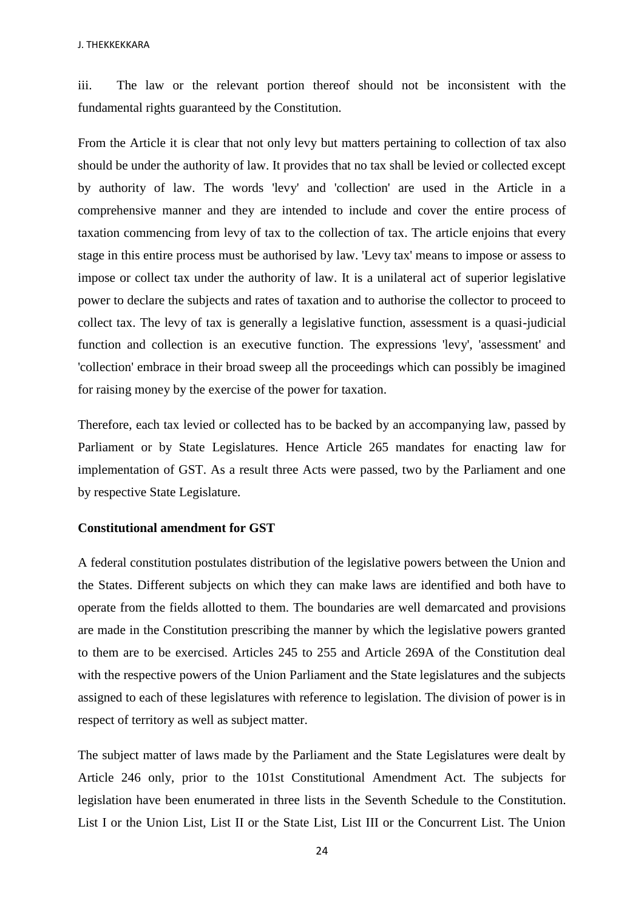iii. The law or the relevant portion thereof should not be inconsistent with the fundamental rights guaranteed by the Constitution.

From the Article it is clear that not only levy but matters pertaining to collection of tax also should be under the authority of law. It provides that no tax shall be levied or collected except by authority of law. The words 'levy' and 'collection' are used in the Article in a comprehensive manner and they are intended to include and cover the entire process of taxation commencing from levy of tax to the collection of tax. The article enjoins that every stage in this entire process must be authorised by law. 'Levy tax' means to impose or assess to impose or collect tax under the authority of law. It is a unilateral act of superior legislative power to declare the subjects and rates of taxation and to authorise the collector to proceed to collect tax. The levy of tax is generally a legislative function, assessment is a quasi-judicial function and collection is an executive function. The expressions 'levy', 'assessment' and 'collection' embrace in their broad sweep all the proceedings which can possibly be imagined for raising money by the exercise of the power for taxation.

Therefore, each tax levied or collected has to be backed by an accompanying law, passed by Parliament or by State Legislatures. Hence Article 265 mandates for enacting law for implementation of GST. As a result three Acts were passed, two by the Parliament and one by respective State Legislature.

## **Constitutional amendment for GST**

A federal constitution postulates distribution of the legislative powers between the Union and the States. Different subjects on which they can make laws are identified and both have to operate from the fields allotted to them. The boundaries are well demarcated and provisions are made in the Constitution prescribing the manner by which the legislative powers granted to them are to be exercised. Articles 245 to 255 and Article 269A of the Constitution deal with the respective powers of the Union Parliament and the State legislatures and the subjects assigned to each of these legislatures with reference to legislation. The division of power is in respect of territory as well as subject matter.

The subject matter of laws made by the Parliament and the State Legislatures were dealt by Article 246 only, prior to the 101st Constitutional Amendment Act. The subjects for legislation have been enumerated in three lists in the Seventh Schedule to the Constitution. List I or the Union List, List II or the State List, List III or the Concurrent List. The Union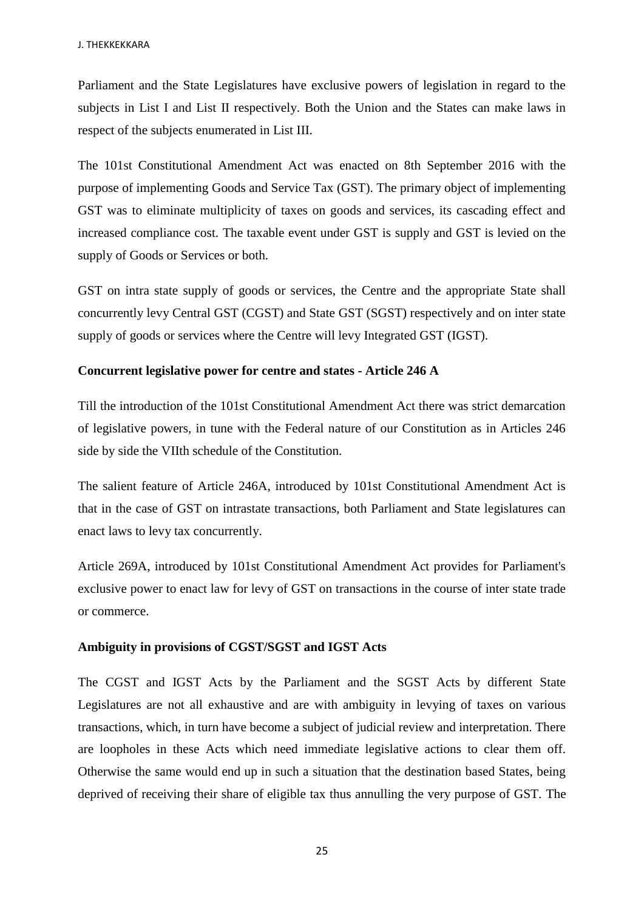Parliament and the State Legislatures have exclusive powers of legislation in regard to the subjects in List I and List II respectively. Both the Union and the States can make laws in respect of the subjects enumerated in List III.

The 101st Constitutional Amendment Act was enacted on 8th September 2016 with the purpose of implementing Goods and Service Tax (GST). The primary object of implementing GST was to eliminate multiplicity of taxes on goods and services, its cascading effect and increased compliance cost. The taxable event under GST is supply and GST is levied on the supply of Goods or Services or both.

GST on intra state supply of goods or services, the Centre and the appropriate State shall concurrently levy Central GST (CGST) and State GST (SGST) respectively and on inter state supply of goods or services where the Centre will levy Integrated GST (IGST).

#### **Concurrent legislative power for centre and states - Article 246 A**

Till the introduction of the 101st Constitutional Amendment Act there was strict demarcation of legislative powers, in tune with the Federal nature of our Constitution as in Articles 246 side by side the VIIth schedule of the Constitution.

The salient feature of Article 246A, introduced by 101st Constitutional Amendment Act is that in the case of GST on intrastate transactions, both Parliament and State legislatures can enact laws to levy tax concurrently.

Article 269A, introduced by 101st Constitutional Amendment Act provides for Parliament's exclusive power to enact law for levy of GST on transactions in the course of inter state trade or commerce.

#### **Ambiguity in provisions of CGST/SGST and IGST Acts**

The CGST and IGST Acts by the Parliament and the SGST Acts by different State Legislatures are not all exhaustive and are with ambiguity in levying of taxes on various transactions, which, in turn have become a subject of judicial review and interpretation. There are loopholes in these Acts which need immediate legislative actions to clear them off. Otherwise the same would end up in such a situation that the destination based States, being deprived of receiving their share of eligible tax thus annulling the very purpose of GST. The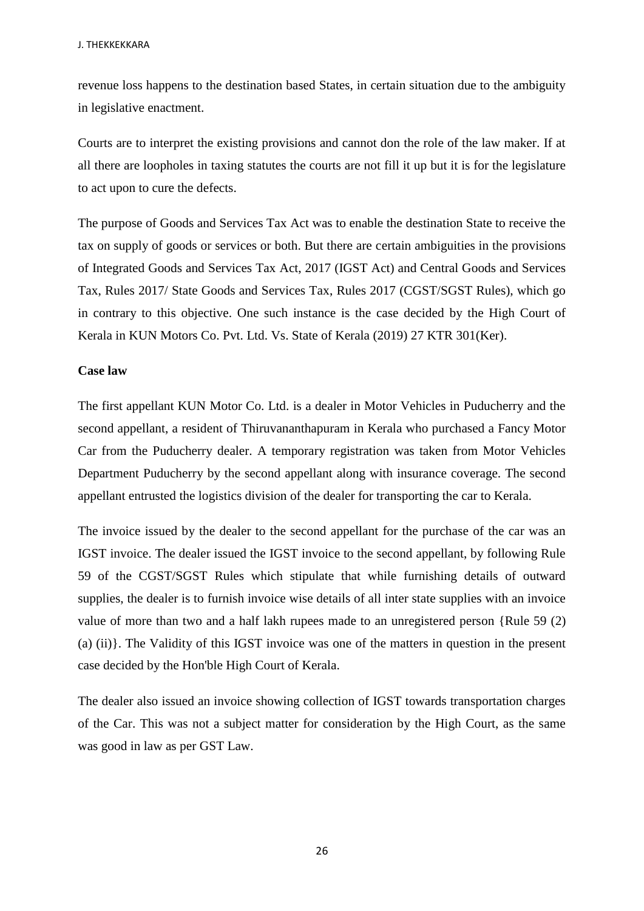revenue loss happens to the destination based States, in certain situation due to the ambiguity in legislative enactment.

Courts are to interpret the existing provisions and cannot don the role of the law maker. If at all there are loopholes in taxing statutes the courts are not fill it up but it is for the legislature to act upon to cure the defects.

The purpose of Goods and Services Tax Act was to enable the destination State to receive the tax on supply of goods or services or both. But there are certain ambiguities in the provisions of Integrated Goods and Services Tax Act, 2017 (IGST Act) and Central Goods and Services Tax, Rules 2017/ State Goods and Services Tax, Rules 2017 (CGST/SGST Rules), which go in contrary to this objective. One such instance is the case decided by the High Court of Kerala in KUN Motors Co. Pvt. Ltd. Vs. State of Kerala (2019) 27 KTR 301(Ker).

#### **Case law**

The first appellant KUN Motor Co. Ltd. is a dealer in Motor Vehicles in Puducherry and the second appellant, a resident of Thiruvananthapuram in Kerala who purchased a Fancy Motor Car from the Puducherry dealer. A temporary registration was taken from Motor Vehicles Department Puducherry by the second appellant along with insurance coverage. The second appellant entrusted the logistics division of the dealer for transporting the car to Kerala.

The invoice issued by the dealer to the second appellant for the purchase of the car was an IGST invoice. The dealer issued the IGST invoice to the second appellant, by following Rule 59 of the CGST/SGST Rules which stipulate that while furnishing details of outward supplies, the dealer is to furnish invoice wise details of all inter state supplies with an invoice value of more than two and a half lakh rupees made to an unregistered person {Rule 59 (2) (a) (ii)}. The Validity of this IGST invoice was one of the matters in question in the present case decided by the Hon'ble High Court of Kerala.

The dealer also issued an invoice showing collection of IGST towards transportation charges of the Car. This was not a subject matter for consideration by the High Court, as the same was good in law as per GST Law.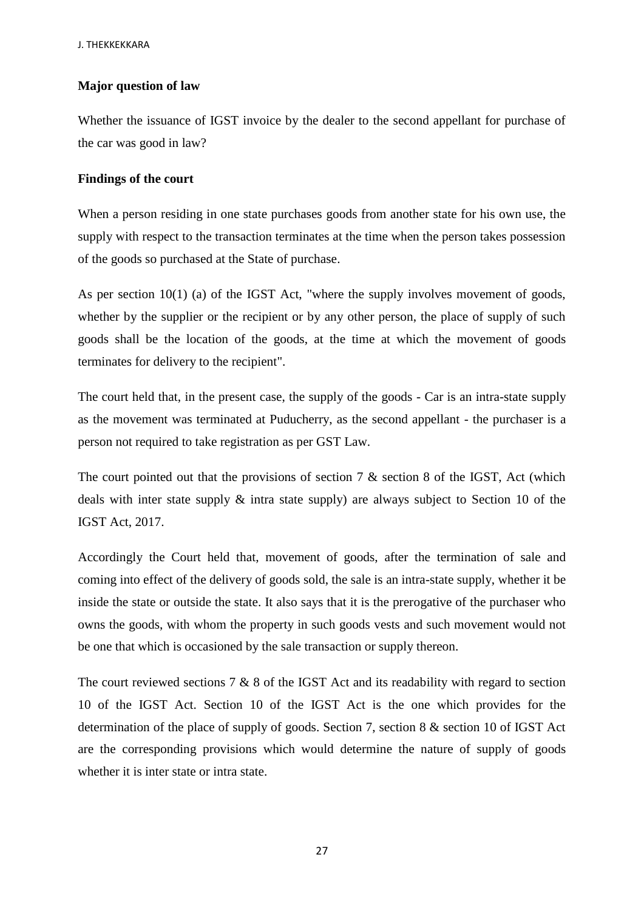## **Major question of law**

Whether the issuance of IGST invoice by the dealer to the second appellant for purchase of the car was good in law?

#### **Findings of the court**

When a person residing in one state purchases goods from another state for his own use, the supply with respect to the transaction terminates at the time when the person takes possession of the goods so purchased at the State of purchase.

As per section 10(1) (a) of the IGST Act, "where the supply involves movement of goods, whether by the supplier or the recipient or by any other person, the place of supply of such goods shall be the location of the goods, at the time at which the movement of goods terminates for delivery to the recipient".

The court held that, in the present case, the supply of the goods - Car is an intra-state supply as the movement was terminated at Puducherry, as the second appellant - the purchaser is a person not required to take registration as per GST Law.

The court pointed out that the provisions of section 7  $\&$  section 8 of the IGST, Act (which deals with inter state supply & intra state supply) are always subject to Section 10 of the IGST Act, 2017.

Accordingly the Court held that, movement of goods, after the termination of sale and coming into effect of the delivery of goods sold, the sale is an intra-state supply, whether it be inside the state or outside the state. It also says that it is the prerogative of the purchaser who owns the goods, with whom the property in such goods vests and such movement would not be one that which is occasioned by the sale transaction or supply thereon.

The court reviewed sections  $7 \& 8$  of the IGST Act and its readability with regard to section 10 of the IGST Act. Section 10 of the IGST Act is the one which provides for the determination of the place of supply of goods. Section 7, section 8 & section 10 of IGST Act are the corresponding provisions which would determine the nature of supply of goods whether it is inter state or intra state.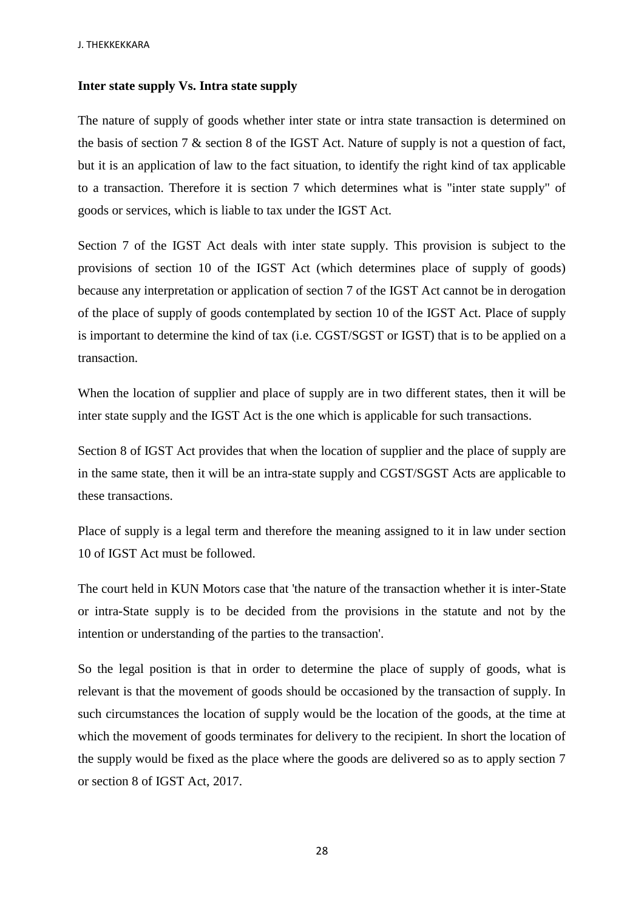## **Inter state supply Vs. Intra state supply**

The nature of supply of goods whether inter state or intra state transaction is determined on the basis of section 7 & section 8 of the IGST Act. Nature of supply is not a question of fact, but it is an application of law to the fact situation, to identify the right kind of tax applicable to a transaction. Therefore it is section 7 which determines what is "inter state supply" of goods or services, which is liable to tax under the IGST Act.

Section 7 of the IGST Act deals with inter state supply. This provision is subject to the provisions of section 10 of the IGST Act (which determines place of supply of goods) because any interpretation or application of section 7 of the IGST Act cannot be in derogation of the place of supply of goods contemplated by section 10 of the IGST Act. Place of supply is important to determine the kind of tax (i.e. CGST/SGST or IGST) that is to be applied on a transaction.

When the location of supplier and place of supply are in two different states, then it will be inter state supply and the IGST Act is the one which is applicable for such transactions.

Section 8 of IGST Act provides that when the location of supplier and the place of supply are in the same state, then it will be an intra-state supply and CGST/SGST Acts are applicable to these transactions.

Place of supply is a legal term and therefore the meaning assigned to it in law under section 10 of IGST Act must be followed.

The court held in KUN Motors case that 'the nature of the transaction whether it is inter-State or intra-State supply is to be decided from the provisions in the statute and not by the intention or understanding of the parties to the transaction'.

So the legal position is that in order to determine the place of supply of goods, what is relevant is that the movement of goods should be occasioned by the transaction of supply. In such circumstances the location of supply would be the location of the goods, at the time at which the movement of goods terminates for delivery to the recipient. In short the location of the supply would be fixed as the place where the goods are delivered so as to apply section 7 or section 8 of IGST Act, 2017.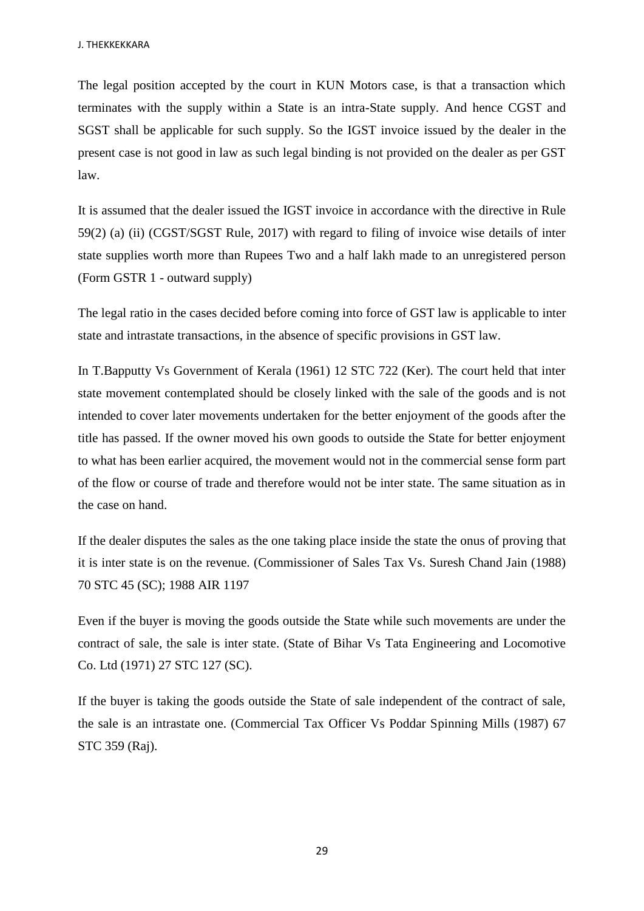The legal position accepted by the court in KUN Motors case, is that a transaction which terminates with the supply within a State is an intra-State supply. And hence CGST and SGST shall be applicable for such supply. So the IGST invoice issued by the dealer in the present case is not good in law as such legal binding is not provided on the dealer as per GST law.

It is assumed that the dealer issued the IGST invoice in accordance with the directive in Rule 59(2) (a) (ii) (CGST/SGST Rule, 2017) with regard to filing of invoice wise details of inter state supplies worth more than Rupees Two and a half lakh made to an unregistered person (Form GSTR 1 - outward supply)

The legal ratio in the cases decided before coming into force of GST law is applicable to inter state and intrastate transactions, in the absence of specific provisions in GST law.

In T.Bapputty Vs Government of Kerala (1961) 12 STC 722 (Ker). The court held that inter state movement contemplated should be closely linked with the sale of the goods and is not intended to cover later movements undertaken for the better enjoyment of the goods after the title has passed. If the owner moved his own goods to outside the State for better enjoyment to what has been earlier acquired, the movement would not in the commercial sense form part of the flow or course of trade and therefore would not be inter state. The same situation as in the case on hand.

If the dealer disputes the sales as the one taking place inside the state the onus of proving that it is inter state is on the revenue. (Commissioner of Sales Tax Vs. Suresh Chand Jain (1988) 70 STC 45 (SC); 1988 AIR 1197

Even if the buyer is moving the goods outside the State while such movements are under the contract of sale, the sale is inter state. (State of Bihar Vs Tata Engineering and Locomotive Co. Ltd (1971) 27 STC 127 (SC).

If the buyer is taking the goods outside the State of sale independent of the contract of sale, the sale is an intrastate one. (Commercial Tax Officer Vs Poddar Spinning Mills (1987) 67 STC 359 (Raj).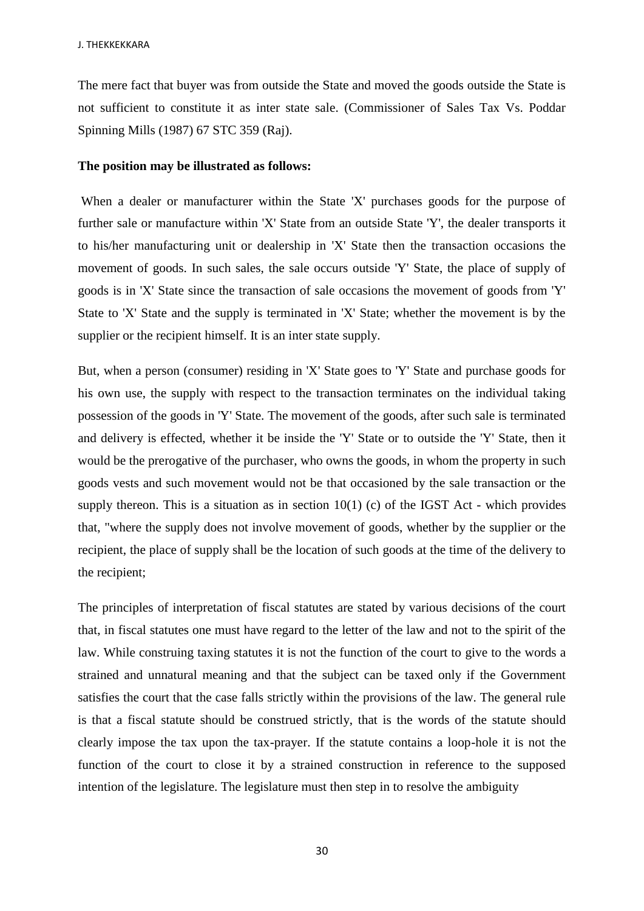The mere fact that buyer was from outside the State and moved the goods outside the State is not sufficient to constitute it as inter state sale. (Commissioner of Sales Tax Vs. Poddar Spinning Mills (1987) 67 STC 359 (Raj).

#### **The position may be illustrated as follows:**

When a dealer or manufacturer within the State 'X' purchases goods for the purpose of further sale or manufacture within 'X' State from an outside State 'Y', the dealer transports it to his/her manufacturing unit or dealership in 'X' State then the transaction occasions the movement of goods. In such sales, the sale occurs outside 'Y' State, the place of supply of goods is in 'X' State since the transaction of sale occasions the movement of goods from 'Y' State to 'X' State and the supply is terminated in 'X' State; whether the movement is by the supplier or the recipient himself. It is an inter state supply.

But, when a person (consumer) residing in 'X' State goes to 'Y' State and purchase goods for his own use, the supply with respect to the transaction terminates on the individual taking possession of the goods in 'Y' State. The movement of the goods, after such sale is terminated and delivery is effected, whether it be inside the 'Y' State or to outside the 'Y' State, then it would be the prerogative of the purchaser, who owns the goods, in whom the property in such goods vests and such movement would not be that occasioned by the sale transaction or the supply thereon. This is a situation as in section  $10(1)$  (c) of the IGST Act - which provides that, "where the supply does not involve movement of goods, whether by the supplier or the recipient, the place of supply shall be the location of such goods at the time of the delivery to the recipient;

The principles of interpretation of fiscal statutes are stated by various decisions of the court that, in fiscal statutes one must have regard to the letter of the law and not to the spirit of the law. While construing taxing statutes it is not the function of the court to give to the words a strained and unnatural meaning and that the subject can be taxed only if the Government satisfies the court that the case falls strictly within the provisions of the law. The general rule is that a fiscal statute should be construed strictly, that is the words of the statute should clearly impose the tax upon the tax-prayer. If the statute contains a loop-hole it is not the function of the court to close it by a strained construction in reference to the supposed intention of the legislature. The legislature must then step in to resolve the ambiguity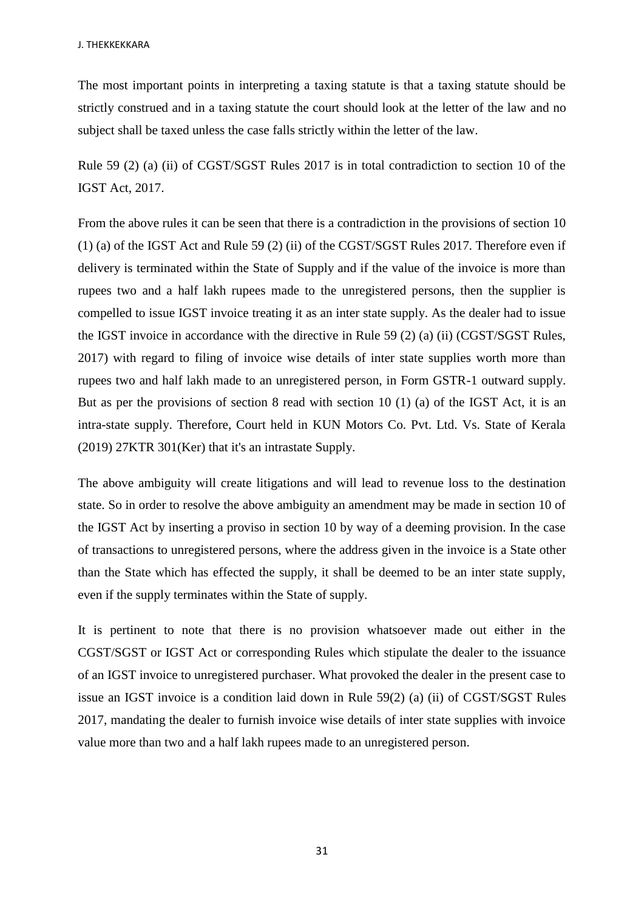The most important points in interpreting a taxing statute is that a taxing statute should be strictly construed and in a taxing statute the court should look at the letter of the law and no subject shall be taxed unless the case falls strictly within the letter of the law.

Rule 59 (2) (a) (ii) of CGST/SGST Rules 2017 is in total contradiction to section 10 of the IGST Act, 2017.

From the above rules it can be seen that there is a contradiction in the provisions of section 10 (1) (a) of the IGST Act and Rule 59 (2) (ii) of the CGST/SGST Rules 2017. Therefore even if delivery is terminated within the State of Supply and if the value of the invoice is more than rupees two and a half lakh rupees made to the unregistered persons, then the supplier is compelled to issue IGST invoice treating it as an inter state supply. As the dealer had to issue the IGST invoice in accordance with the directive in Rule 59 (2) (a) (ii) (CGST/SGST Rules, 2017) with regard to filing of invoice wise details of inter state supplies worth more than rupees two and half lakh made to an unregistered person, in Form GSTR-1 outward supply. But as per the provisions of section 8 read with section 10 (1) (a) of the IGST Act, it is an intra-state supply. Therefore, Court held in KUN Motors Co. Pvt. Ltd. Vs. State of Kerala (2019) 27KTR 301(Ker) that it's an intrastate Supply.

The above ambiguity will create litigations and will lead to revenue loss to the destination state. So in order to resolve the above ambiguity an amendment may be made in section 10 of the IGST Act by inserting a proviso in section 10 by way of a deeming provision. In the case of transactions to unregistered persons, where the address given in the invoice is a State other than the State which has effected the supply, it shall be deemed to be an inter state supply, even if the supply terminates within the State of supply.

It is pertinent to note that there is no provision whatsoever made out either in the CGST/SGST or IGST Act or corresponding Rules which stipulate the dealer to the issuance of an IGST invoice to unregistered purchaser. What provoked the dealer in the present case to issue an IGST invoice is a condition laid down in Rule 59(2) (a) (ii) of CGST/SGST Rules 2017, mandating the dealer to furnish invoice wise details of inter state supplies with invoice value more than two and a half lakh rupees made to an unregistered person.